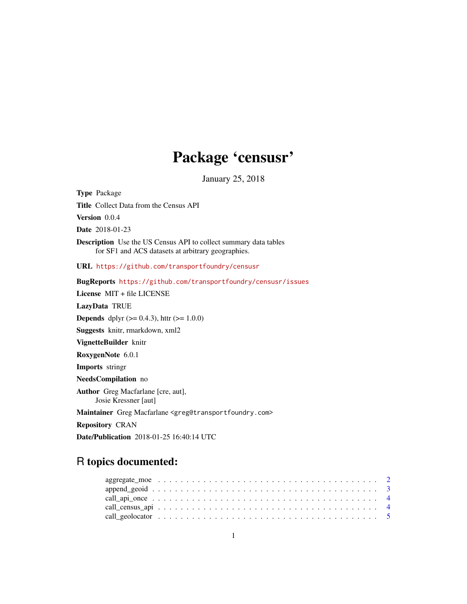## Package 'censusr'

January 25, 2018

Type Package Title Collect Data from the Census API Version 0.0.4 Date 2018-01-23 Description Use the US Census API to collect summary data tables for SF1 and ACS datasets at arbitrary geographies. URL <https://github.com/transportfoundry/censusr> BugReports <https://github.com/transportfoundry/censusr/issues> License MIT + file LICENSE LazyData TRUE **Depends** dplyr  $(>= 0.4.3)$ , httr  $(>= 1.0.0)$ Suggests knitr, rmarkdown, xml2 VignetteBuilder knitr RoxygenNote 6.0.1 Imports stringr NeedsCompilation no Author Greg Macfarlane [cre, aut], Josie Kressner [aut] Maintainer Greg Macfarlane <greg@transportfoundry.com> Repository CRAN Date/Publication 2018-01-25 16:40:14 UTC

### R topics documented: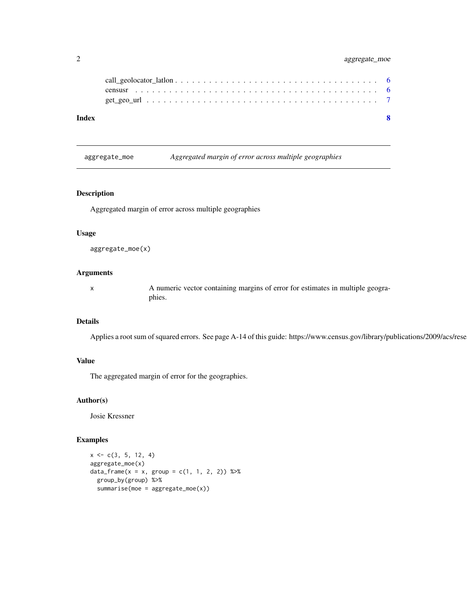#### <span id="page-1-0"></span>2 aggregate\_moe

| Index | $\mathbf{R}$ |  |
|-------|--------------|--|
|       |              |  |
|       |              |  |
|       |              |  |

aggregate\_moe *Aggregated margin of error across multiple geographies*

#### Description

Aggregated margin of error across multiple geographies

#### Usage

```
aggregate_moe(x)
```
#### Arguments

x A numeric vector containing margins of error for estimates in multiple geographies.

#### Details

Applies a root sum of squared errors. See page A-14 of this guide: https://www.census.gov/library/publications/2009/acs/rese

#### Value

The aggregated margin of error for the geographies.

#### Author(s)

Josie Kressner

#### Examples

```
x \leq -c(3, 5, 12, 4)aggregate_moe(x)
data_frame(x = x, group = c(1, 1, 2, 2)) %>%
  group_by(group) %>%
  summarise(moe = aggregate_moe(x))
```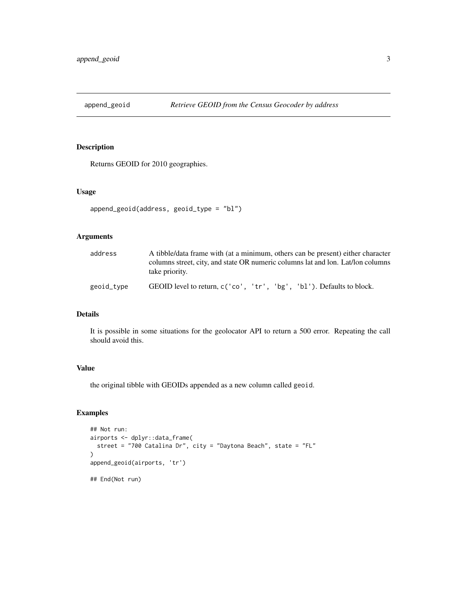<span id="page-2-0"></span>

#### Description

Returns GEOID for 2010 geographies.

#### Usage

```
append_geoid(address, geoid_type = "bl")
```
#### Arguments

| address    | A tibble/data frame with (at a minimum, others can be present) either character<br>columns street, city, and state OR numeric columns lat and lon. Lat/lon columns |  |  |  |  |  |  |  |  |
|------------|--------------------------------------------------------------------------------------------------------------------------------------------------------------------|--|--|--|--|--|--|--|--|
| geoid_type | take priority.<br>GEOID level to return, c('co', 'tr', 'bg', 'b1'). Defaults to block.                                                                             |  |  |  |  |  |  |  |  |

#### Details

It is possible in some situations for the geolocator API to return a 500 error. Repeating the call should avoid this.

#### Value

the original tibble with GEOIDs appended as a new column called geoid.

#### Examples

```
## Not run:
airports <- dplyr::data_frame(
  street = "700 Catalina Dr", city = "Daytona Beach", state = "FL"
\overline{\phantom{a}}append_geoid(airports, 'tr')
## End(Not run)
```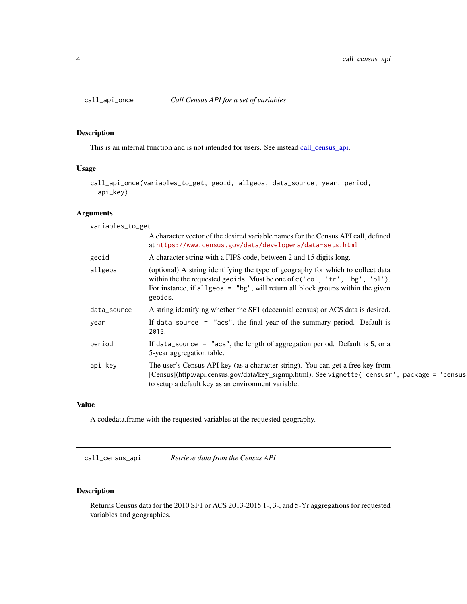<span id="page-3-0"></span>

#### Description

This is an internal function and is not intended for users. See instead [call\\_census\\_api.](#page-3-1)

#### Usage

```
call_api_once(variables_to_get, geoid, allgeos, data_source, year, period,
  api_key)
```
#### Arguments

| variables_to_get |                                                                                                                                                                                                                                                              |
|------------------|--------------------------------------------------------------------------------------------------------------------------------------------------------------------------------------------------------------------------------------------------------------|
|                  | A character vector of the desired variable names for the Census API call, defined<br>at https://www.census.gov/data/developers/data-sets.html                                                                                                                |
| geoid            | A character string with a FIPS code, between 2 and 15 digits long.                                                                                                                                                                                           |
| allgeos          | (optional) A string identifying the type of geography for which to collect data<br>within the the requested geoids. Must be one of c('co', 'tr', 'bg', 'bl').<br>For instance, if allgeos $=$ "bg", will return all block groups within the given<br>geoids. |
| data_source      | A string identifying whether the SF1 (decennial census) or ACS data is desired.                                                                                                                                                                              |
| year             | If data_source = $"$ acs", the final year of the summary period. Default is<br>2013.                                                                                                                                                                         |
| period           | If data_source = $"$ acs", the length of aggregation period. Default is 5, or a<br>5-year aggregation table.                                                                                                                                                 |
| api_key          | The user's Census API key (as a character string). You can get a free key from<br>[Census](http://api.census.gov/data/key_signup.html). See vignette('censusr', package = 'census]<br>to setup a default key as an environment variable.                     |

#### Value

A codedata.frame with the requested variables at the requested geography.

<span id="page-3-1"></span>call\_census\_api *Retrieve data from the Census API*

#### Description

Returns Census data for the 2010 SF1 or ACS 2013-2015 1-, 3-, and 5-Yr aggregations for requested variables and geographies.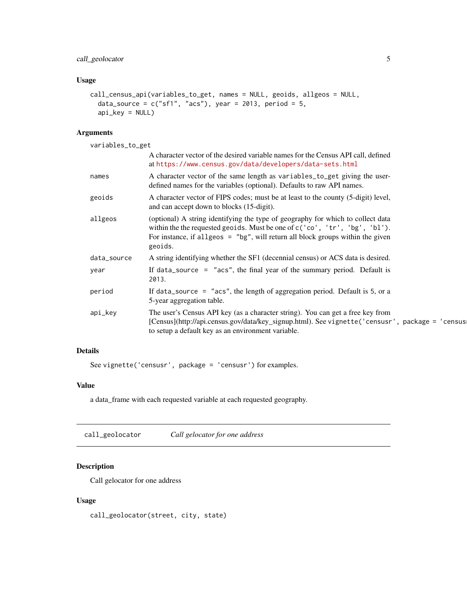#### <span id="page-4-0"></span>call\_geolocator 5

#### Usage

```
call_census_api(variables_to_get, names = NULL, geoids, allgeos = NULL,
  data_source = c("sf1", "acs"), year = 2013, period = 5,api_key = NULL)
```
#### Arguments

variables\_to\_get A character vector of the desired variable names for the Census API call, defined at <https://www.census.gov/data/developers/data-sets.html> names A character vector of the same length as variables\_to\_get giving the userdefined names for the variables (optional). Defaults to raw API names. geoids A character vector of FIPS codes; must be at least to the county (5-digit) level, and can accept down to blocks (15-digit). allgeos (optional) A string identifying the type of geography for which to collect data within the the requested geoids. Must be one of c('co', 'tr', 'bg', 'bl'). For instance, if allgeos =  $"bg"$ , will return all block groups within the given geoids. data\_source A string identifying whether the SF1 (decennial census) or ACS data is desired. year If data\_source = "acs", the final year of the summary period. Default is 2013. period If data\_source = "acs", the length of aggregation period. Default is 5, or a 5-year aggregation table. api\_key The user's Census API key (as a character string). You can get a free key from [Census](http://api.census.gov/data/key\_signup.html). See vignette('censusr', package = 'census to setup a default key as an environment variable.

#### Details

See vignette('censusr', package = 'censusr') for examples.

#### Value

a data\_frame with each requested variable at each requested geography.

call\_geolocator *Call gelocator for one address*

#### Description

Call gelocator for one address

#### Usage

call\_geolocator(street, city, state)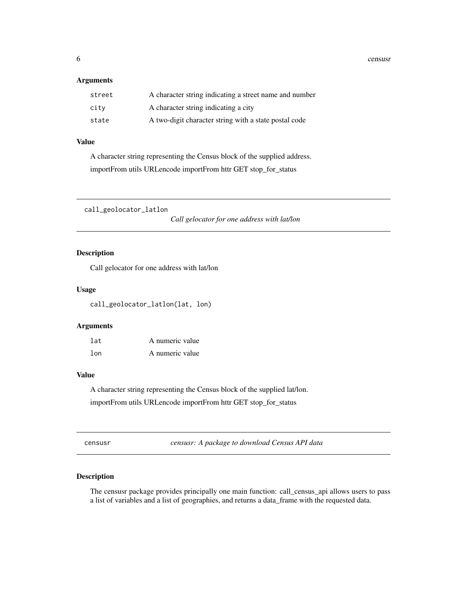<span id="page-5-0"></span>6 censusri and the constant of the constant of the constant of the constant of the constant of the constant of the constant of the constant of the constant of the constant of the constant of the constant of the constant of

#### Arguments

| street | A character string indicating a street name and number |
|--------|--------------------------------------------------------|
| city   | A character string indicating a city                   |
| state  | A two-digit character string with a state postal code  |

#### Value

A character string representing the Census block of the supplied address. importFrom utils URLencode importFrom httr GET stop\_for\_status

call\_geolocator\_latlon

*Call gelocator for one address with lat/lon*

#### Description

Call gelocator for one address with lat/lon

#### Usage

call\_geolocator\_latlon(lat, lon)

#### Arguments

| lat | A numeric value |
|-----|-----------------|
| lon | A numeric value |

#### Value

A character string representing the Census block of the supplied lat/lon. importFrom utils URLencode importFrom httr GET stop\_for\_status

censusr *censusr: A package to download Census API data*

#### Description

The censusr package provides principally one main function: call\_census\_api allows users to pass a list of variables and a list of geographies, and returns a data\_frame with the requested data.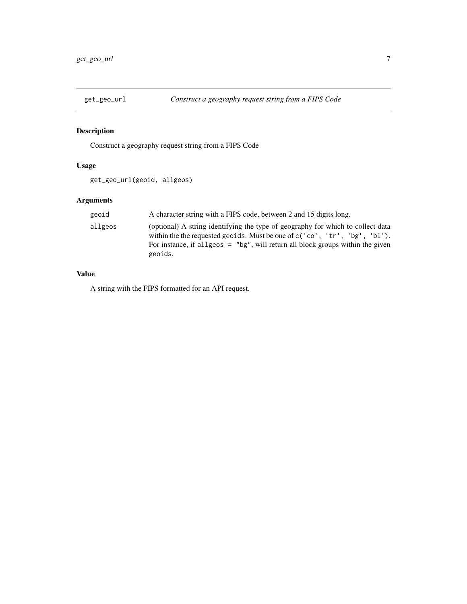<span id="page-6-0"></span>

#### Description

Construct a geography request string from a FIPS Code

#### Usage

```
get_geo_url(geoid, allgeos)
```
#### Arguments

| geoid   | A character string with a FIPS code, between 2 and 15 digits long.                                                                                                                                                                                               |
|---------|------------------------------------------------------------------------------------------------------------------------------------------------------------------------------------------------------------------------------------------------------------------|
| allgeos | (optional) A string identifying the type of geography for which to collect data<br>within the the requested geoids. Must be one of $c('co', 'tr', 'bg', 'bl')$ .<br>For instance, if all geos $=$ "bg", will return all block groups within the given<br>geoids. |

#### Value

A string with the FIPS formatted for an API request.